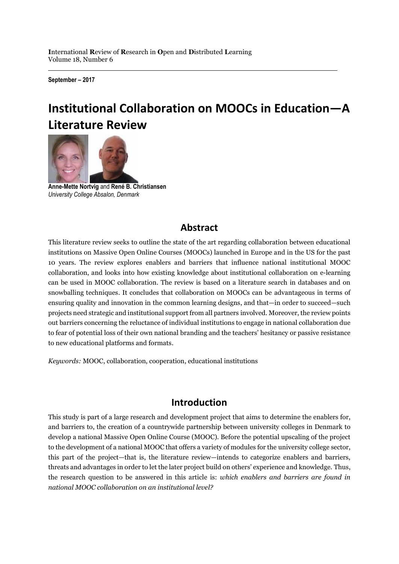**September – 2017**

# **Institutional Collaboration on MOOCs in Education—A Literature Review**



**Anne-Mette Nortvig** and **René B. Christiansen** *University College Absalon, Denmark*

## **Abstract**

This literature review seeks to outline the state of the art regarding collaboration between educational institutions on Massive Open Online Courses (MOOCs) launched in Europe and in the US for the past 10 years. The review explores enablers and barriers that influence national institutional MOOC collaboration, and looks into how existing knowledge about institutional collaboration on e-learning can be used in MOOC collaboration. The review is based on a literature search in databases and on snowballing techniques. It concludes that collaboration on MOOCs can be advantageous in terms of ensuring quality and innovation in the common learning designs, and that—in order to succeed—such projects need strategic and institutional support from all partners involved. Moreover, the review points out barriers concerning the reluctance of individual institutions to engage in national collaboration due to fear of potential loss of their own national branding and the teachers' hesitancy or passive resistance to new educational platforms and formats.

*Keywords:* MOOC, collaboration, cooperation, educational institutions

## **Introduction**

This study is part of a large research and development project that aims to determine the enablers for, and barriers to, the creation of a countrywide partnership between university colleges in Denmark to develop a national Massive Open Online Course (MOOC). Before the potential upscaling of the project to the development of a national MOOC that offers a variety of modules for the university college sector, this part of the project—that is, the literature review—intends to categorize enablers and barriers, threats and advantages in order to let the later project build on others' experience and knowledge. Thus, the research question to be answered in this article is: *which enablers and barriers are found in national MOOC collaboration on an institutional level?*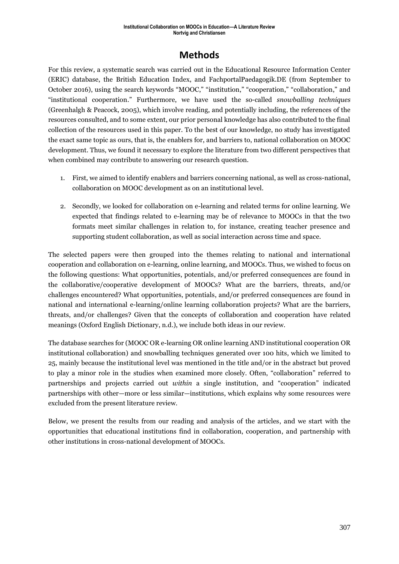## **Methods**

For this review, a systematic search was carried out in the Educational Resource Information Center (ERIC) database, the British Education Index, and FachportalPaedagogik.DE (from September to October 2016), using the search keywords "MOOC," "institution," "cooperation," "collaboration," and "institutional cooperation." Furthermore, we have used the so-called *snowballing techniques* (Greenhalgh & Peacock, 2005), which involve reading, and potentially including, the references of the resources consulted, and to some extent, our prior personal knowledge has also contributed to the final collection of the resources used in this paper. To the best of our knowledge, no study has investigated the exact same topic as ours, that is, the enablers for, and barriers to, national collaboration on MOOC development. Thus, we found it necessary to explore the literature from two different perspectives that when combined may contribute to answering our research question.

- 1. First, we aimed to identify enablers and barriers concerning national, as well as cross-national, collaboration on MOOC development as on an institutional level.
- 2. Secondly, we looked for collaboration on e-learning and related terms for online learning. We expected that findings related to e-learning may be of relevance to MOOCs in that the two formats meet similar challenges in relation to, for instance, creating teacher presence and supporting student collaboration, as well as social interaction across time and space.

The selected papers were then grouped into the themes relating to national and international cooperation and collaboration on e-learning, online learning, and MOOCs. Thus, we wished to focus on the following questions: What opportunities, potentials, and/or preferred consequences are found in the collaborative/cooperative development of MOOCs? What are the barriers, threats, and/or challenges encountered? What opportunities, potentials, and/or preferred consequences are found in national and international e-learning/online learning collaboration projects? What are the barriers, threats, and/or challenges? Given that the concepts of collaboration and cooperation have related meanings (Oxford English Dictionary, n.d.), we include both ideas in our review.

The database searches for (MOOC OR e-learning OR online learning AND institutional cooperation OR institutional collaboration) and snowballing techniques generated over 100 hits, which we limited to 25, mainly because the institutional level was mentioned in the title and/or in the abstract but proved to play a minor role in the studies when examined more closely. Often, "collaboration" referred to partnerships and projects carried out *within* a single institution, and "cooperation" indicated partnerships with other—more or less similar—institutions, which explains why some resources were excluded from the present literature review.

Below, we present the results from our reading and analysis of the articles, and we start with the opportunities that educational institutions find in collaboration, cooperation, and partnership with other institutions in cross-national development of MOOCs.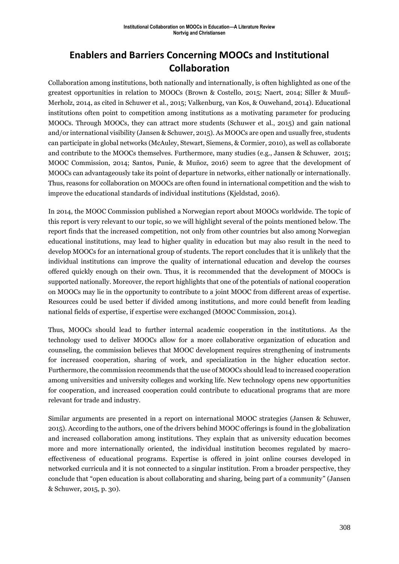## **Enablers and Barriers Concerning MOOCs and Institutional Collaboration**

Collaboration among institutions, both nationally and internationally, is often highlighted as one of the greatest opportunities in relation to MOOCs (Brown & Costello, 2015; Naert, 2014; Siller & Muuß-Merholz, 2014, as cited in Schuwer et al., 2015; Valkenburg, van Kos, & Ouwehand, 2014). Educational institutions often point to competition among institutions as a motivating parameter for producing MOOCs. Through MOOCs, they can attract more students (Schuwer et al., 2015) and gain national and/or international visibility (Jansen & Schuwer, 2015). As MOOCs are open and usually free, students can participate in global networks (McAuley, Stewart, Siemens, & Cormier, 2010), as well as collaborate and contribute to the MOOCs themselves. Furthermore, many studies (e.g., Jansen & Schuwer, 2015; MOOC Commission, 2014; Santos, Punie, & Muñoz, 2016) seem to agree that the development of MOOCs can advantageously take its point of departure in networks, either nationally or internationally. Thus, reasons for collaboration on MOOCs are often found in international competition and the wish to improve the educational standards of individual institutions (Kjeldstad, 2016).

In 2014, the MOOC Commission published a Norwegian report about MOOCs worldwide. The topic of this report is very relevant to our topic, so we will highlight several of the points mentioned below. The report finds that the increased competition, not only from other countries but also among Norwegian educational institutions, may lead to higher quality in education but may also result in the need to develop MOOCs for an international group of students. The report concludes that it is unlikely that the individual institutions can improve the quality of international education and develop the courses offered quickly enough on their own. Thus, it is recommended that the development of MOOCs is supported nationally. Moreover, the report highlights that one of the potentials of national cooperation on MOOCs may lie in the opportunity to contribute to a joint MOOC from different areas of expertise. Resources could be used better if divided among institutions, and more could benefit from leading national fields of expertise, if expertise were exchanged (MOOC Commission, 2014).

Thus, MOOCs should lead to further internal academic cooperation in the institutions. As the technology used to deliver MOOCs allow for a more collaborative organization of education and counseling, the commission believes that MOOC development requires strengthening of instruments for increased cooperation, sharing of work, and specialization in the higher education sector. Furthermore, the commission recommends that the use of MOOCs should lead to increased cooperation among universities and university colleges and working life. New technology opens new opportunities for cooperation, and increased cooperation could contribute to educational programs that are more relevant for trade and industry.

Similar arguments are presented in a report on international MOOC strategies (Jansen & Schuwer, 2015). According to the authors, one of the drivers behind MOOC offerings is found in the globalization and increased collaboration among institutions. They explain that as university education becomes more and more internationally oriented, the individual institution becomes regulated by macroeffectiveness of educational programs. Expertise is offered in joint online courses developed in networked curricula and it is not connected to a singular institution. From a broader perspective, they conclude that "open education is about collaborating and sharing, being part of a community" (Jansen & Schuwer, 2015, p. 30).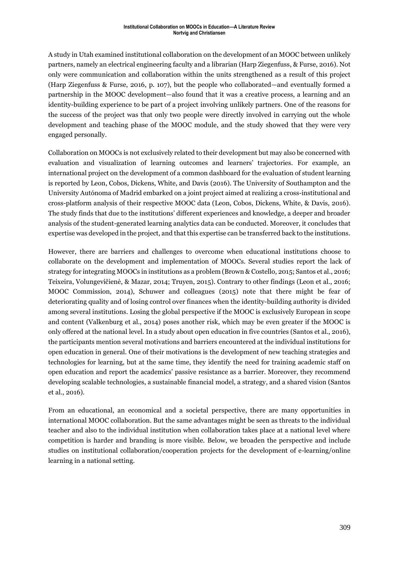A study in Utah examined institutional collaboration on the development of an MOOC between unlikely partners, namely an electrical engineering faculty and a librarian (Harp Ziegenfuss, & Furse, 2016). Not only were communication and collaboration within the units strengthened as a result of this project (Harp Ziegenfuss & Furse, 2016, p. 107), but the people who collaborated—and eventually formed a partnership in the MOOC development—also found that it was a creative process, a learning and an identity-building experience to be part of a project involving unlikely partners. One of the reasons for the success of the project was that only two people were directly involved in carrying out the whole development and teaching phase of the MOOC module, and the study showed that they were very engaged personally.

Collaboration on MOOCs is not exclusively related to their development but may also be concerned with evaluation and visualization of learning outcomes and learners' trajectories. For example, an international project on the development of a common dashboard for the evaluation of student learning is reported by Leon, Cobos, Dickens, White, and Davis (2016). The University of Southampton and the University Autónoma of Madrid embarked on a joint project aimed at realizing a cross-institutional and cross-platform analysis of their respective MOOC data (Leon, Cobos, Dickens, White, & Davis, 2016). The study finds that due to the institutions' different experiences and knowledge, a deeper and broader analysis of the student-generated learning analytics data can be conducted. Moreover, it concludes that expertise was developed in the project, and that this expertise can be transferred back to the institutions.

However, there are barriers and challenges to overcome when educational institutions choose to collaborate on the development and implementation of MOOCs. Several studies report the lack of strategy for integrating MOOCs in institutions as a problem (Brown & Costello, 2015; Santos et al., 2016; Teixeira, Volungevičienė, & Mazar, 2014; Truyen, 2015). Contrary to other findings (Leon et al., 2016; MOOC Commission, 2014), Schuwer and colleagues (2015) note that there might be fear of deteriorating quality and of losing control over finances when the identity-building authority is divided among several institutions. Losing the global perspective if the MOOC is exclusively European in scope and content (Valkenburg et al., 2014) poses another risk, which may be even greater if the MOOC is only offered at the national level. In a study about open education in five countries (Santos et al., 2016), the participants mention several motivations and barriers encountered at the individual institutions for open education in general. One of their motivations is the development of new teaching strategies and technologies for learning, but at the same time, they identify the need for training academic staff on open education and report the academics' passive resistance as a barrier. Moreover, they recommend developing scalable technologies, a sustainable financial model, a strategy, and a shared vision (Santos et al., 2016).

From an educational, an economical and a societal perspective, there are many opportunities in international MOOC collaboration. But the same advantages might be seen as threats to the individual teacher and also to the individual institution when collaboration takes place at a national level where competition is harder and branding is more visible. Below, we broaden the perspective and include studies on institutional collaboration/cooperation projects for the development of e-learning/online learning in a national setting.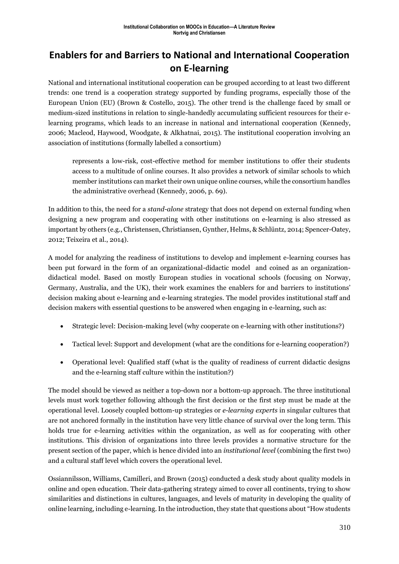## **Enablers for and Barriers to National and International Cooperation on E-learning**

National and international institutional cooperation can be grouped according to at least two different trends: one trend is a cooperation strategy supported by funding programs, especially those of the European Union (EU) (Brown & Costello, 2015). The other trend is the challenge faced by small or medium-sized institutions in relation to single-handedly accumulating sufficient resources for their elearning programs, which leads to an increase in national and international cooperation (Kennedy, 2006; Macleod, Haywood, Woodgate, & Alkhatnai, 2015). The institutional cooperation involving an association of institutions (formally labelled a consortium)

represents a low-risk, cost-effective method for member institutions to offer their students access to a multitude of online courses. It also provides a network of similar schools to which member institutions can market their own unique online courses, while the consortium handles the administrative overhead (Kennedy, 2006, p. 69).

In addition to this, the need for a *stand-alone* strategy that does not depend on external funding when designing a new program and cooperating with other institutions on e-learning is also stressed as important by others (e.g., Christensen, Christiansen, Gynther, Helms, & Schlüntz, 2014; Spencer-Oatey, 2012; Teixeira et al., 2014).

A model for analyzing the readiness of institutions to develop and implement e-learning courses has been put forward in the form of an organizational-didactic model and coined as an organizationdidactical model. Based on mostly European studies in vocational schools (focusing on Norway, Germany, Australia, and the UK), their work examines the enablers for and barriers to institutions' decision making about e-learning and e-learning strategies. The model provides institutional staff and decision makers with essential questions to be answered when engaging in e-learning, such as:

- Strategic level: Decision-making level (why cooperate on e-learning with other institutions?)
- Tactical level: Support and development (what are the conditions for e-learning cooperation?)
- Operational level: Qualified staff (what is the quality of readiness of current didactic designs and the e-learning staff culture within the institution?)

The model should be viewed as neither a top-down nor a bottom-up approach. The three institutional levels must work together following although the first decision or the first step must be made at the operational level. Loosely coupled bottom-up strategies or *e-learning experts* in singular cultures that are not anchored formally in the institution have very little chance of survival over the long term. This holds true for e-learning activities within the organization, as well as for cooperating with other institutions. This division of organizations into three levels provides a normative structure for the present section of the paper, which is hence divided into an *institutional level* (combining the first two) and a cultural staff level which covers the operational level.

Ossiannilsson, Williams, Camilleri, and Brown (2015) conducted a desk study about quality models in online and open education. Their data-gathering strategy aimed to cover all continents, trying to show similarities and distinctions in cultures, languages, and levels of maturity in developing the quality of online learning, including e-learning. In the introduction, they state that questions about "How students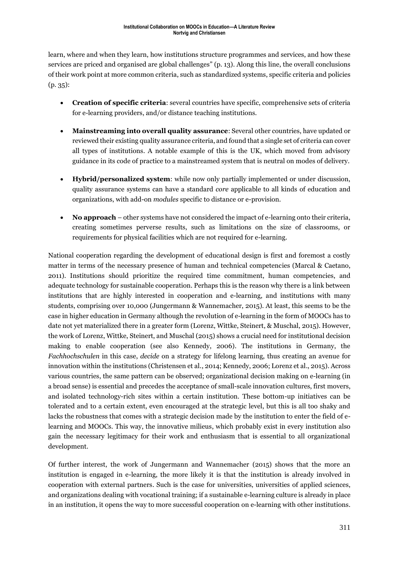learn, where and when they learn, how institutions structure programmes and services, and how these services are priced and organised are global challenges" (p. 13). Along this line, the overall conclusions of their work point at more common criteria, such as standardized systems, specific criteria and policies (p. 35):

- **Creation of specific criteria**: several countries have specific, comprehensive sets of criteria for e-learning providers, and/or distance teaching institutions.
- **Mainstreaming into overall quality assurance**: Several other countries, have updated or reviewed their existing quality assurance criteria, and found that a single set of criteria can cover all types of institutions. A notable example of this is the UK, which moved from advisory guidance in its code of practice to a mainstreamed system that is neutral on modes of delivery.
- **Hybrid/personalized system**: while now only partially implemented or under discussion, quality assurance systems can have a standard *core* applicable to all kinds of education and organizations, with add-on *modules* specific to distance or e-provision.
- **No approach** other systems have not considered the impact of e-learning onto their criteria, creating sometimes perverse results, such as limitations on the size of classrooms, or requirements for physical facilities which are not required for e-learning.

National cooperation regarding the development of educational design is first and foremost a costly matter in terms of the necessary presence of human and technical competencies (Marcal & Caetano, 2011). Institutions should prioritize the required time commitment, human competencies, and adequate technology for sustainable cooperation. Perhaps this is the reason why there is a link between institutions that are highly interested in cooperation and e-learning, and institutions with many students, comprising over 10,000 (Jungermann & Wannemacher, 2015). At least, this seems to be the case in higher education in Germany although the revolution of e-learning in the form of MOOCs has to date not yet materialized there in a greater form (Lorenz, Wittke, Steinert, & Muschal, 2015). However, the work of Lorenz, Wittke, Steinert, and Muschal (2015) shows a crucial need for institutional decision making to enable cooperation (see also Kennedy, 2006). The institutions in Germany, the *Fachhochschulen* in this case, *decide* on a strategy for lifelong learning, thus creating an avenue for innovation within the institutions (Christensen et al., 2014; Kennedy, 2006; Lorenz et al., 2015). Across various countries, the same pattern can be observed; organizational decision making on e-learning (in a broad sense) is essential and precedes the acceptance of small-scale innovation cultures, first movers, and isolated technology-rich sites within a certain institution. These bottom-up initiatives can be tolerated and to a certain extent, even encouraged at the strategic level, but this is all too shaky and lacks the robustness that comes with a strategic decision made by the institution to enter the field of elearning and MOOCs. This way, the innovative milieus, which probably exist in every institution also gain the necessary legitimacy for their work and enthusiasm that is essential to all organizational development.

Of further interest, the work of Jungermann and Wannemacher (2015) shows that the more an institution is engaged in e-learning, the more likely it is that the institution is already involved in cooperation with external partners. Such is the case for universities, universities of applied sciences, and organizations dealing with vocational training; if a sustainable e-learning culture is already in place in an institution, it opens the way to more successful cooperation on e-learning with other institutions.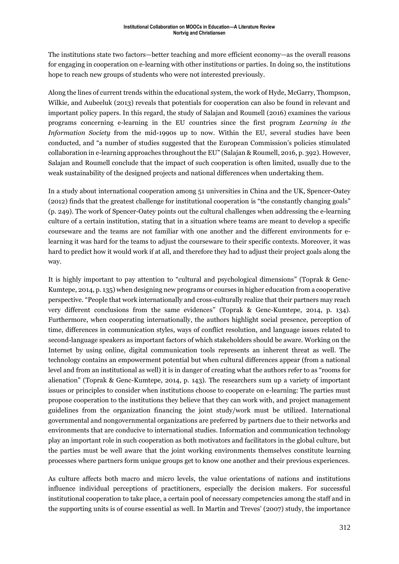The institutions state two factors—better teaching and more efficient economy—as the overall reasons for engaging in cooperation on e-learning with other institutions or parties. In doing so, the institutions hope to reach new groups of students who were not interested previously.

Along the lines of current trends within the educational system, the work of Hyde, McGarry, Thompson, Wilkie, and Aubeeluk (2013) reveals that potentials for cooperation can also be found in relevant and important policy papers. In this regard, the study of Salajan and Roumell (2016) examines the various programs concerning e-learning in the EU countries since the first program *Learning in the Information Society* from the mid-1990s up to now. Within the EU, several studies have been conducted, and "a number of studies suggested that the European Commission's policies stimulated collaboration in e-learning approaches throughout the EU" (Salajan & Roumell, 2016, p. 392). However, Salajan and Roumell conclude that the impact of such cooperation is often limited, usually due to the weak sustainability of the designed projects and national differences when undertaking them.

In a study about international cooperation among 51 universities in China and the UK, Spencer-Oatey (2012) finds that the greatest challenge for institutional cooperation is "the constantly changing goals" (p. 249). The work of Spencer-Oatey points out the cultural challenges when addressing the e-learning culture of a certain institution, stating that in a situation where teams are meant to develop a specific courseware and the teams are not familiar with one another and the different environments for elearning it was hard for the teams to adjust the courseware to their specific contexts. Moreover, it was hard to predict how it would work if at all, and therefore they had to adjust their project goals along the way.

It is highly important to pay attention to "cultural and psychological dimensions" (Toprak & Genc-Kumtepe, 2014, p. 135) when designing new programs or courses in higher education from a cooperative perspective. "People that work internationally and cross-culturally realize that their partners may reach very different conclusions from the same evidences" (Toprak & Genc-Kumtepe, 2014, p. 134). Furthermore, when cooperating internationally, the authors highlight social presence, perception of time, differences in communication styles, ways of conflict resolution, and language issues related to second-language speakers as important factors of which stakeholders should be aware. Working on the Internet by using online, digital communication tools represents an inherent threat as well. The technology contains an empowerment potential but when cultural differences appear (from a national level and from an institutional as well) it is in danger of creating what the authors refer to as "rooms for alienation" (Toprak & Genc-Kumtepe, 2014, p. 143). The researchers sum up a variety of important issues or principles to consider when institutions choose to cooperate on e-learning: The parties must propose cooperation to the institutions they believe that they can work with, and project management guidelines from the organization financing the joint study/work must be utilized. International governmental and nongovernmental organizations are preferred by partners due to their networks and environments that are conducive to international studies. Information and communication technology play an important role in such cooperation as both motivators and facilitators in the global culture, but the parties must be well aware that the joint working environments themselves constitute learning processes where partners form unique groups get to know one another and their previous experiences.

As culture affects both macro and micro levels, the value orientations of nations and institutions influence individual perceptions of practitioners, especially the decision makers. For successful institutional cooperation to take place, a certain pool of necessary competencies among the staff and in the supporting units is of course essential as well. In Martin and Treves' (2007) study, the importance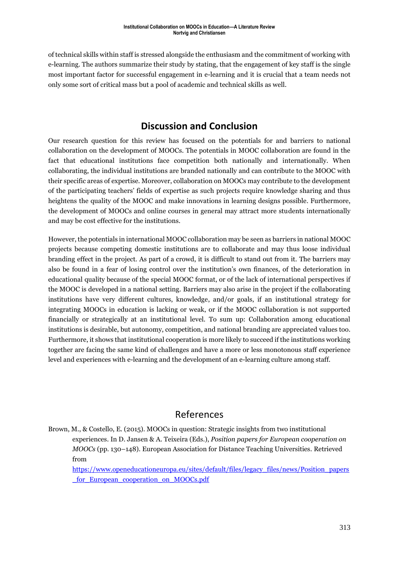of technical skills within staff is stressed alongside the enthusiasm and the commitment of working with e-learning. The authors summarize their study by stating, that the engagement of key staff is the single most important factor for successful engagement in e-learning and it is crucial that a team needs not only some sort of critical mass but a pool of academic and technical skills as well.

#### **Discussion and Conclusion**

Our research question for this review has focused on the potentials for and barriers to national collaboration on the development of MOOCs. The potentials in MOOC collaboration are found in the fact that educational institutions face competition both nationally and internationally. When collaborating, the individual institutions are branded nationally and can contribute to the MOOC with their specific areas of expertise. Moreover, collaboration on MOOCs may contribute to the development of the participating teachers' fields of expertise as such projects require knowledge sharing and thus heightens the quality of the MOOC and make innovations in learning designs possible. Furthermore, the development of MOOCs and online courses in general may attract more students internationally and may be cost effective for the institutions.

However, the potentials in international MOOC collaboration may be seen as barriers in national MOOC projects because competing domestic institutions are to collaborate and may thus loose individual branding effect in the project. As part of a crowd, it is difficult to stand out from it. The barriers may also be found in a fear of losing control over the institution's own finances, of the deterioration in educational quality because of the special MOOC format, or of the lack of international perspectives if the MOOC is developed in a national setting. Barriers may also arise in the project if the collaborating institutions have very different cultures, knowledge, and/or goals, if an institutional strategy for integrating MOOCs in education is lacking or weak, or if the MOOC collaboration is not supported financially or strategically at an institutional level. To sum up: Collaboration among educational institutions is desirable, but autonomy, competition, and national branding are appreciated values too. Furthermore, it shows that institutional cooperation is more likely to succeed if the institutions working together are facing the same kind of challenges and have a more or less monotonous staff experience level and experiences with e-learning and the development of an e-learning culture among staff.

## References

Brown, M., & Costello, E. (2015). MOOCs in question: Strategic insights from two institutional experiences. In D. Jansen & A. Teixeira (Eds.), *Position papers for European cooperation on MOOCs* (pp. 130–148). European Association for Distance Teaching Universities. Retrieved from

[https://www.openeducationeuropa.eu/sites/default/files/legacy\\_files/news/Position\\_papers](https://www.openeducationeuropa.eu/sites/default/files/legacy_files/news/Position_papers_for_European_cooperation_on_MOOCs.pdf) [\\_for\\_European\\_cooperation\\_on\\_MOOCs.pdf](https://www.openeducationeuropa.eu/sites/default/files/legacy_files/news/Position_papers_for_European_cooperation_on_MOOCs.pdf)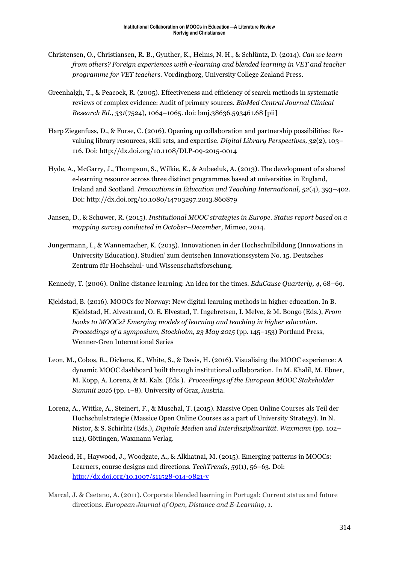- Christensen, O., Christiansen, R. B., Gynther, K., Helms, N. H., & Schlüntz, D. (2014). *Can we learn from others? Foreign experiences with e-learning and blended learning in VET and teacher programme for VET teachers.* Vordingborg, University College Zealand Press.
- Greenhalgh, T., & Peacock, R. (2005). Effectiveness and efficiency of search methods in systematic reviews of complex evidence: Audit of primary sources. *BioMed Central Journal Clinical Research Ed., 331*(7524), 1064–1065. doi: bmj.38636.593461.68 [pii]
- Harp Ziegenfuss, D., & Furse, C. (2016). Opening up collaboration and partnership possibilities: Revaluing library resources, skill sets, and expertise. *Digital Library Perspectives, 32*(2), 103– 116. Doi: http://dx.doi.org/10.1108/DLP-09-2015-0014
- Hyde, A., McGarry, J., Thompson, S., Wilkie, K., & Aubeeluk, A. (2013). The development of a shared e-learning resource across three distinct programmes based at universities in England, Ireland and Scotland. *Innovations in Education and Teaching International, 52*(4), 393–402. Doi: http://dx.doi.org/10.1080/14703297.2013.860879
- Jansen, D., & Schuwer, R. (2015). *Institutional MOOC strategies in Europe. Status report based on a mapping survey conducted in October–December,* Mimeo, 2014*.*
- Jungermann, I., & Wannemacher, K. (2015). Innovationen in der Hochschulbildung (Innovations in University Education). Studien' zum deutschen Innovationssystem No. 15. Deutsches Zentrum für Hochschul- und Wissenschaftsforschung.
- Kennedy, T. (2006). Online distance learning: An idea for the times. *EduCause Quarterly, 4*, 68–69.
- Kjeldstad, B. (2016). MOOCs for Norway: New digital learning methods in higher education. In B. Kjeldstad, H. Alvestrand, O. E. Elvestad, T. Ingebretsen, I. Melve, & M. Bongo (Eds.), *From books to MOOCs? Emerging models of learning and teaching in higher education*. *Proceedings of a symposium, Stockholm, 23 May 2015* (pp. 145–153) Portland Press, Wenner-Gren International Series
- Leon, M., Cobos, R., Dickens, K., White, S., & Davis, H. (2016). Visualising the MOOC experience: A dynamic MOOC dashboard built through institutional collaboration. In M. Khalil, M. Ebner, M. Kopp, A. Lorenz, & M. Kalz. (Eds.). *Proceedings of the European MOOC Stakeholder Summit 2016* (pp. 1–8). University of Graz, Austria.
- Lorenz, A., Wittke, A., Steinert, F., & Muschal, T. (2015). Massive Open Online Courses als Teil der Hochschulstrategie (Massice Open Online Courses as a part of University Strategy). In N. Nistor, & S. Schirlitz (Eds.), *Digitale Medien und Interdisziplinarität. Waxmann* (pp. 102– 112), Göttingen, Waxmann Verlag.
- Macleod, H., Haywood, J., Woodgate, A., & Alkhatnai, M. (2015). Emerging patterns in MOOCs: Learners, course designs and directions. *TechTrends, 59*(1), 56–63. Doi: <http://dx.doi.org/10.1007/s11528-014-0821-y>
- Marcal, J. & Caetano, A. (2011). Corporate blended learning in Portugal: Current status and future directions. *European Journal of Open, Distance and E-Learning, 1*.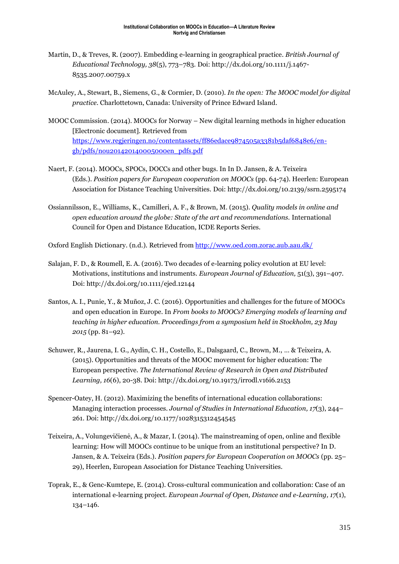- Martin, D., & Treves, R. (2007). Embedding e-learning in geographical practice. *British Journal of Educational Technology, 38*(5), 773–783. Doi: http://dx.doi.org/10.1111/j.1467- 8535.2007.00759.x
- McAuley, A., Stewart, B., Siemens, G., & Cormier, D. (2010). *In the open: The MOOC model for digital practice.* Charlottetown, Canada: University of Prince Edward Island.
- MOOC Commission. (2014). MOOCs for Norway New digital learning methods in higher education [Electronic document]. Retrieved fro[m](https://www.regjeringen.no/contentassets/ff86edace9874505a3381b5daf6848e6/en-gb/pdfs/nou201420140005000en_pdfs.pdf) [https://www.regjeringen.no/contentassets/ff86edace9874505a3381b5daf6848e6/en](https://www.regjeringen.no/contentassets/ff86edace9874505a3381b5daf6848e6/en-gb/pdfs/nou201420140005000en_pdfs.pdf)[gb/pdfs/nou201420140005000en\\_pdfs.pdf](https://www.regjeringen.no/contentassets/ff86edace9874505a3381b5daf6848e6/en-gb/pdfs/nou201420140005000en_pdfs.pdf)
- Naert, F. (2014). MOOCs, SPOCs, DOCCs and other bugs. In In D. Jansen, & A. Teixeira (Eds.). *Position papers for European cooperation on MOOCs* (pp. 64-74). Heerlen: European Association for Distance Teaching Universities. Doi: http://dx.doi.org/10.2139/ssrn.2595174
- Ossiannilsson, E., Williams, K., Camilleri, A. F., & Brown, M. (2015). *Quality models in online and open education around the globe: State of the art and recommendations.* International Council for Open and Distance Education, ICDE Reports Series.
- Oxford English Dictionary. (n.d.). Retrieved from<http://www.oed.com.zorac.aub.aau.dk/>
- Salajan, F. D., & Roumell, E. A. (2016). Two decades of e-learning policy evolution at EU level: Motivations, institutions and instruments. *European Journal of Education,* 51(3), 391–407. Doi: http://dx.doi.org/10.1111/ejed.12144
- Santos, A. I., Punie, Y., & Muñoz, J. C. (2016). Opportunities and challenges for the future of MOOCs and open education in Europe. In *From books to MOOCs? Emerging models of learning and teaching in higher education. Proceedings from a symposium held in Stockholm, 23 May 2015* (pp. 81–92).
- Schuwer, R., Jaurena, I. G., Aydin, C. H., Costello, E., Dalsgaard, C., Brown, M., … & Teixeira, A. (2015). Opportunities and threats of the MOOC movement for higher education: The European perspective. *The International Review of Research in Open and Distributed Learning, 16*(6), 20-38. Doi: http://dx.doi.org/10.19173/irrodl.v16i6.2153
- Spencer-Oatey, H. (2012). Maximizing the benefits of international education collaborations: Managing interaction processes. *Journal of Studies in International Education, 17*(3), 244– 261. Doi: http://dx.doi.org/10.1177/1028315312454545
- Teixeira, A., Volungevičienė, A., & Mazar, I. (2014). The mainstreaming of open, online and flexible learning: How will MOOCs continue to be unique from an institutional perspective? In D. Jansen, & A. Teixeira (Eds.). *Position papers for European Cooperation on MOOCs* (pp. 25– 29), Heerlen, European Association for Distance Teaching Universities.
- Toprak, E., & Genc-Kumtepe, E. (2014). Cross-cultural communication and collaboration: Case of an international e-learning project. *European Journal of Open, Distance and e-Learning, 17*(1), 134–146.